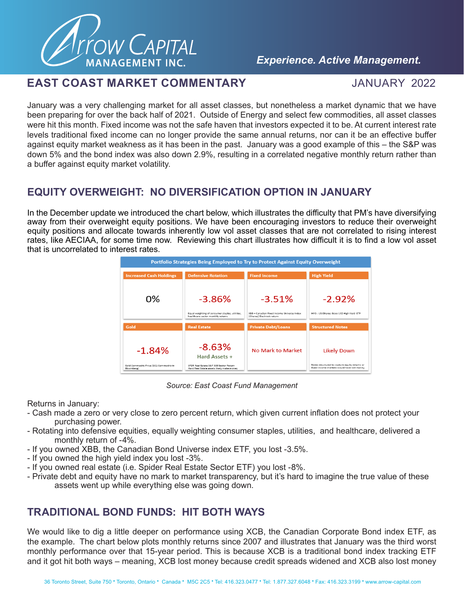

### *Experience. Active Management.*

### **EAST COAST MARKET COMMENTARY** JANUARY 2022

January was a very challenging market for all asset classes, but nonetheless a market dynamic that we have been preparing for over the back half of 2021. Outside of Energy and select few commodities, all asset classes were hit this month. Fixed income was not the safe haven that investors expected it to be. At current interest rate levels traditional fixed income can no longer provide the same annual returns, nor can it be an effective buffer against equity market weakness as it has been in the past. January was a good example of this – the S&P was down 5% and the bond index was also down 2.9%, resulting in a correlated negative monthly return rather than a buffer against equity market volatility.

# **EQUITY OVERWEIGHT: NO DIVERSIFICATION OPTION IN JANUARY**

In the December update we introduced the chart below, which illustrates the difficulty that PM's have diversifying away from their overweight equity positions. We have been encouraging investors to reduce their overweight equity positions and allocate towards inherently low vol asset classes that are not correlated to rising interest rates, like AECIAA, for some time now. Reviewing this chart illustrates how difficult it is to find a low vol asset that is uncorrelated to interest rates.



*Source: East Coast Fund Management*

Returns in January:

- Cash made a zero or very close to zero percent return, which given current inflation does not protect your purchasing power.
- Rotating into defensive equities, equally weighting consumer staples, utilities, and healthcare, delivered a monthly return of -4%.
- If you owned XBB, the Canadian Bond Universe index ETF, you lost -3.5%.
- If you owned the high yield index you lost -3%.
- If you owned real estate (i.e. Spider Real Estate Sector ETF) you lost -8%.
- Private debt and equity have no mark to market transparency, but it's hard to imagine the true value of these assets went up while everything else was going down.

# **TRADITIONAL BOND FUNDS: HIT BOTH WAYS**

We would like to dig a little deeper on performance using XCB, the Canadian Corporate Bond index ETF, as the example. The chart below plots monthly returns since 2007 and illustrates that January was the third worst monthly performance over that 15-year period. This is because XCB is a traditional bond index tracking ETF and it got hit both ways – meaning, XCB lost money because credit spreads widened and XCB also lost money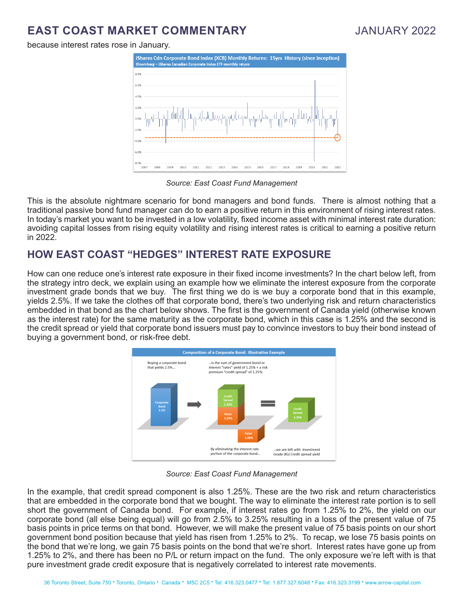because interest rates rose in January.



#### *Source: East Coast Fund Management*

This is the absolute nightmare scenario for bond managers and bond funds. There is almost nothing that a traditional passive bond fund manager can do to earn a positive return in this environment of rising interest rates. In today's market you want to be invested in a low volatility, fixed income asset with minimal interest rate duration: avoiding capital losses from rising equity volatility and rising interest rates is critical to earning a positive return in 2022.

# **HOW EAST COAST "HEDGES" INTEREST RATE EXPOSURE**

How can one reduce one's interest rate exposure in their fixed income investments? In the chart below left, from the strategy intro deck, we explain using an example how we eliminate the interest exposure from the corporate investment grade bonds that we buy. The first thing we do is we buy a corporate bond that in this example, yields 2.5%. If we take the clothes off that corporate bond, there's two underlying risk and return characteristics embedded in that bond as the chart below shows. The first is the government of Canada yield (otherwise known as the interest rate) for the same maturity as the corporate bond, which in this case is 1.25% and the second is the credit spread or yield that corporate bond issuers must pay to convince investors to buy their bond instead of buying a government bond, or risk-free debt.



*Source: East Coast Fund Management*

In the example, that credit spread component is also 1.25%. These are the two risk and return characteristics that are embedded in the corporate bond that we bought. The way to eliminate the interest rate portion is to sell short the government of Canada bond. For example, if interest rates go from 1.25% to 2%, the yield on our corporate bond (all else being equal) will go from 2.5% to 3.25% resulting in a loss of the present value of 75 basis points in price terms on that bond. However, we will make the present value of 75 basis points on our short government bond position because that yield has risen from 1.25% to 2%. To recap, we lose 75 basis points on the bond that we're long, we gain 75 basis points on the bond that we're short. Interest rates have gone up from 1.25% to 2%, and there has been no P/L or return impact on the fund. The only exposure we're left with is that pure investment grade credit exposure that is negatively correlated to interest rate movements.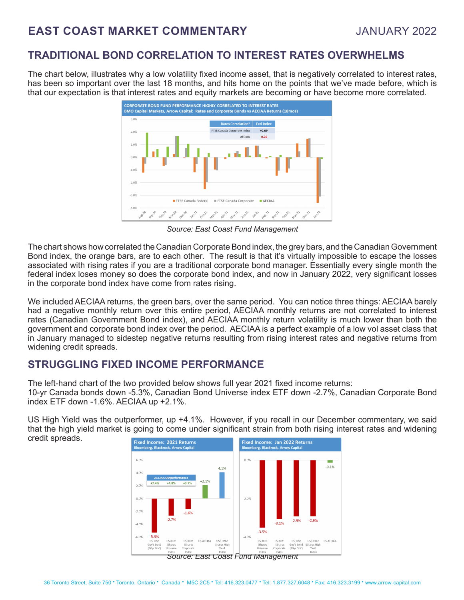### **TRADITIONAL BOND CORRELATION TO INTEREST RATES OVERWHELMS**

The chart below, illustrates why a low volatility fixed income asset, that is negatively correlated to interest rates, has been so important over the last 18 months, and hits home on the points that we've made before, which is that our expectation is that interest rates and equity markets are becoming or have become more correlated.



*Source: East Coast Fund Management*

The chart shows how correlated the Canadian Corporate Bond index, the grey bars, and the Canadian Government Bond index, the orange bars, are to each other. The result is that it's virtually impossible to escape the losses associated with rising rates if you are a traditional corporate bond manager. Essentially every single month the federal index loses money so does the corporate bond index, and now in January 2022, very significant losses in the corporate bond index have come from rates rising.

We included AECIAA returns, the green bars, over the same period. You can notice three things: AECIAA barely had a negative monthly return over this entire period, AECIAA monthly returns are not correlated to interest rates (Canadian Government Bond index), and AECIAA monthly return volatility is much lower than both the government and corporate bond index over the period. AECIAA is a perfect example of a low vol asset class that in January managed to sidestep negative returns resulting from rising interest rates and negative returns from widening credit spreads.

# **STRUGGLING FIXED INCOME PERFORMANCE**

The left-hand chart of the two provided below shows full year 2021 fixed income returns:

10-yr Canada bonds down -5.3%, Canadian Bond Universe index ETF down -2.7%, Canadian Corporate Bond index ETF down -1.6%. AECIAA up +2.1%.

US High Yield was the outperformer, up +4.1%. However, if you recall in our December commentary, we said that the high yield market is going to come under significant strain from both rising interest rates and widening credit spreads.

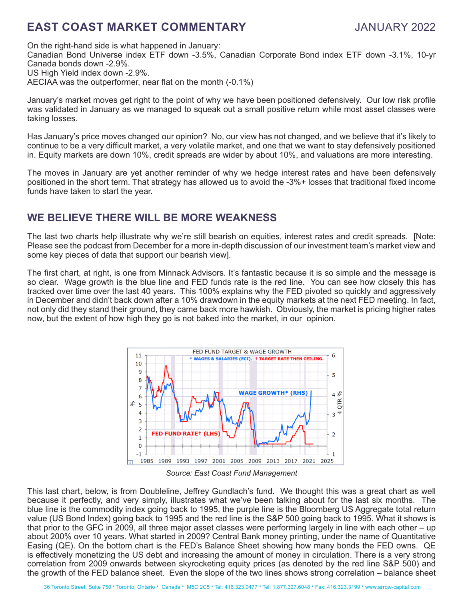On the right-hand side is what happened in January: Canadian Bond Universe index ETF down -3.5%, Canadian Corporate Bond index ETF down -3.1%, 10-yr Canada bonds down -2.9%. US High Yield index down -2.9%. AECIAA was the outperformer, near flat on the month (-0.1%)

January's market moves get right to the point of why we have been positioned defensively. Our low risk profile was validated in January as we managed to squeak out a small positive return while most asset classes were taking losses.

Has January's price moves changed our opinion? No, our view has not changed, and we believe that it's likely to continue to be a very difficult market, a very volatile market, and one that we want to stay defensively positioned in. Equity markets are down 10%, credit spreads are wider by about 10%, and valuations are more interesting.

The moves in January are yet another reminder of why we hedge interest rates and have been defensively positioned in the short term. That strategy has allowed us to avoid the -3%+ losses that traditional fixed income funds have taken to start the year.

## **WE BELIEVE THERE WILL BE MORE WEAKNESS**

The last two charts help illustrate why we're still bearish on equities, interest rates and credit spreads. [Note: Please see the podcast from December for a more in-depth discussion of our investment team's market view and some key pieces of data that support our bearish view].

The first chart, at right, is one from Minnack Advisors. It's fantastic because it is so simple and the message is so clear. Wage growth is the blue line and FED funds rate is the red line. You can see how closely this has tracked over time over the last 40 years. This 100% explains why the FED pivoted so quickly and aggressively in December and didn't back down after a 10% drawdown in the equity markets at the next FED meeting. In fact, not only did they stand their ground, they came back more hawkish. Obviously, the market is pricing higher rates now, but the extent of how high they go is not baked into the market, in our opinion.



*Source: East Coast Fund Management*

This last chart, below, is from Doubleline, Jeffrey Gundlach's fund. We thought this was a great chart as well because it perfectly, and very simply, illustrates what we've been talking about for the last six months. The blue line is the commodity index going back to 1995, the purple line is the Bloomberg US Aggregate total return value (US Bond Index) going back to 1995 and the red line is the S&P 500 going back to 1995. What it shows is that prior to the GFC in 2009, all three major asset classes were performing largely in line with each other – up about 200% over 10 years. What started in 2009? Central Bank money printing, under the name of Quantitative Easing (QE). On the bottom chart is the FED's Balance Sheet showing how many bonds the FED owns. QE is effectively monetizing the US debt and increasing the amount of money in circulation. There is a very strong correlation from 2009 onwards between skyrocketing equity prices (as denoted by the red line S&P 500) and the growth of the FED balance sheet. Even the slope of the two lines shows strong correlation – balance sheet